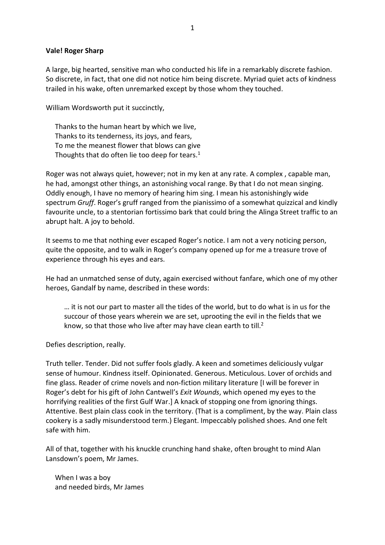## **Vale! Roger Sharp**

A large, big hearted, sensitive man who conducted his life in a remarkably discrete fashion. So discrete, in fact, that one did not notice him being discrete. Myriad quiet acts of kindness trailed in his wake, often unremarked except by those whom they touched.

William Wordsworth put it succinctly,

Thanks to the human heart by which we live, Thanks to its tenderness, its joys, and fears, To me the meanest flower that blows can give Thoughts that do often lie too deep for tears.<sup>1</sup>

Roger was not always quiet, however; not in my ken at any rate. A complex , capable man, he had, amongst other things, an astonishing vocal range. By that I do not mean singing. Oddly enough, I have no memory of hearing him sing. I mean his astonishingly wide spectrum *Gruff*. Roger's gruff ranged from the pianissimo of a somewhat quizzical and kindly favourite uncle, to a stentorian fortissimo bark that could bring the Alinga Street traffic to an abrupt halt. A joy to behold.

It seems to me that nothing ever escaped Roger's notice. I am not a very noticing person, quite the opposite, and to walk in Roger's company opened up for me a treasure trove of experience through his eyes and ears.

He had an unmatched sense of duty, again exercised without fanfare, which one of my other heroes, Gandalf by name, described in these words:

… it is not our part to master all the tides of the world, but to do what is in us for the succour of those years wherein we are set, uprooting the evil in the fields that we know, so that those who live after may have clean earth to till. $2$ 

Defies description, really.

Truth teller. Tender. Did not suffer fools gladly. A keen and sometimes deliciously vulgar sense of humour. Kindness itself. Opinionated. Generous. Meticulous. Lover of orchids and fine glass. Reader of crime novels and non-fiction military literature [I will be forever in Roger's debt for his gift of John Cantwell's *Exit Wounds*, which opened my eyes to the horrifying realities of the first Gulf War.] A knack of stopping one from ignoring things. Attentive. Best plain class cook in the territory. (That is a compliment, by the way. Plain class cookery is a sadly misunderstood term.) Elegant. Impeccably polished shoes. And one felt safe with him.

All of that, together with his knuckle crunching hand shake, often brought to mind Alan Lansdown's poem, Mr James.

When I was a boy and needed birds, Mr James